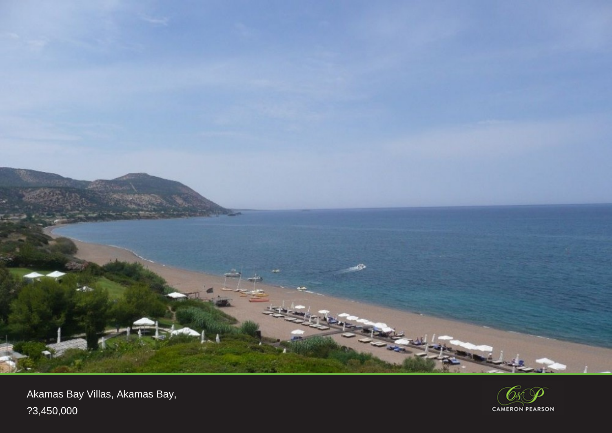



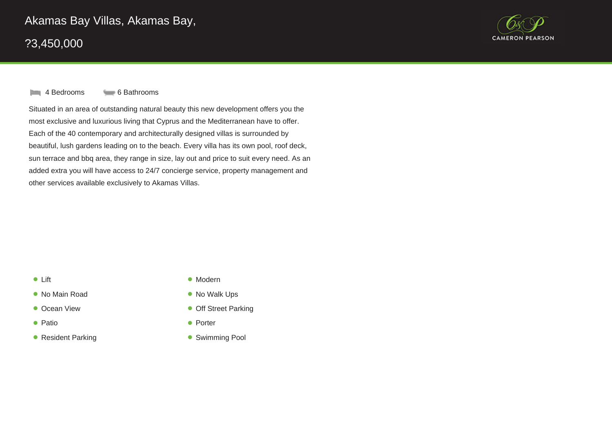



## **4 Bedrooms** 6 Bathrooms

Situated in an area of outstanding natural beauty this new development offers you the most exclusive and luxurious living that Cyprus and the Mediterranean have to offer. Each of the 40 contemporary and architecturally designed villas is surrounded by beautiful, lush gardens leading on to the beach. Every villa has its own pool, roof deck, sun terrace and bbq area, they range in size, lay out and price to suit every need. As an added extra you will have access to 24/7 concierge service, property management and other services available exclusively to Akamas Villas.

## • Lift  $\bullet$

- No Main Road
- Ocean View
- $\bullet$  Patio
- Resident Parking **Swimming Pool**
- Lift Modern
	- $\bullet$  No Walk Ups
	- **Orf Street Parking**
- Patio Porter
	-